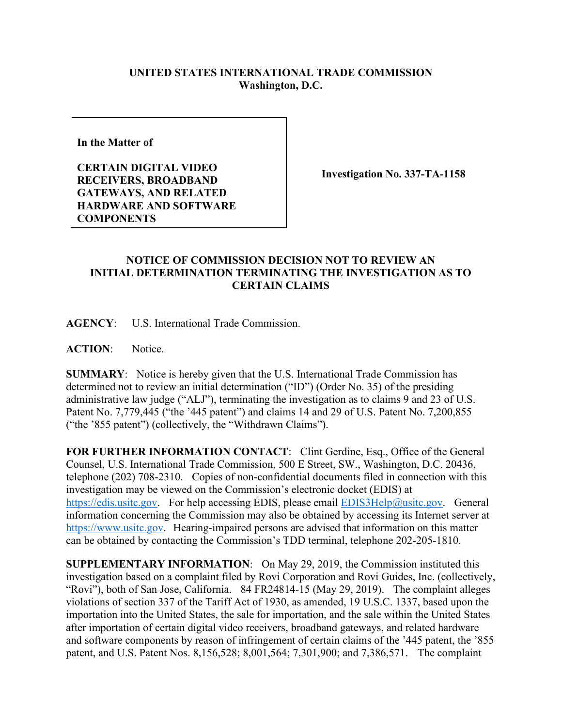## **UNITED STATES INTERNATIONAL TRADE COMMISSION Washington, D.C.**

**In the Matter of** 

**CERTAIN DIGITAL VIDEO RECEIVERS, BROADBAND GATEWAYS, AND RELATED HARDWARE AND SOFTWARE COMPONENTS**

**Investigation No. 337-TA-1158**

## **NOTICE OF COMMISSION DECISION NOT TO REVIEW AN INITIAL DETERMINATION TERMINATING THE INVESTIGATION AS TO CERTAIN CLAIMS**

**AGENCY**: U.S. International Trade Commission.

**ACTION**: Notice.

**SUMMARY**: Notice is hereby given that the U.S. International Trade Commission has determined not to review an initial determination ("ID") (Order No. 35) of the presiding administrative law judge ("ALJ"), terminating the investigation as to claims 9 and 23 of U.S. Patent No. 7,779,445 ("the '445 patent") and claims 14 and 29 of U.S. Patent No. 7,200,855 ("the '855 patent") (collectively, the "Withdrawn Claims").

FOR FURTHER INFORMATION CONTACT: Clint Gerdine, Esq., Office of the General Counsel, U.S. International Trade Commission, 500 E Street, SW., Washington, D.C. 20436, telephone (202) 708-2310. Copies of non-confidential documents filed in connection with this investigation may be viewed on the Commission's electronic docket (EDIS) at [https://edis.usitc.gov.](https://edis.usitc.gov/) For help accessing EDIS, please email [EDIS3Help@usitc.gov.](mailto:EDIS3Help@usitc.gov) General information concerning the Commission may also be obtained by accessing its Internet server at [https://www.usitc.gov.](https://www.usitc.gov/) Hearing-impaired persons are advised that information on this matter can be obtained by contacting the Commission's TDD terminal, telephone 202-205-1810.

**SUPPLEMENTARY INFORMATION**: On May 29, 2019, the Commission instituted this investigation based on a complaint filed by Rovi Corporation and Rovi Guides, Inc. (collectively, "Rovi"), both of San Jose, California. 84 FR24814-15 (May 29, 2019). The complaint alleges violations of section 337 of the Tariff Act of 1930, as amended, 19 U.S.C. 1337, based upon the importation into the United States, the sale for importation, and the sale within the United States after importation of certain digital video receivers, broadband gateways, and related hardware and software components by reason of infringement of certain claims of the '445 patent, the '855 patent, and U.S. Patent Nos. 8,156,528; 8,001,564; 7,301,900; and 7,386,571.The complaint